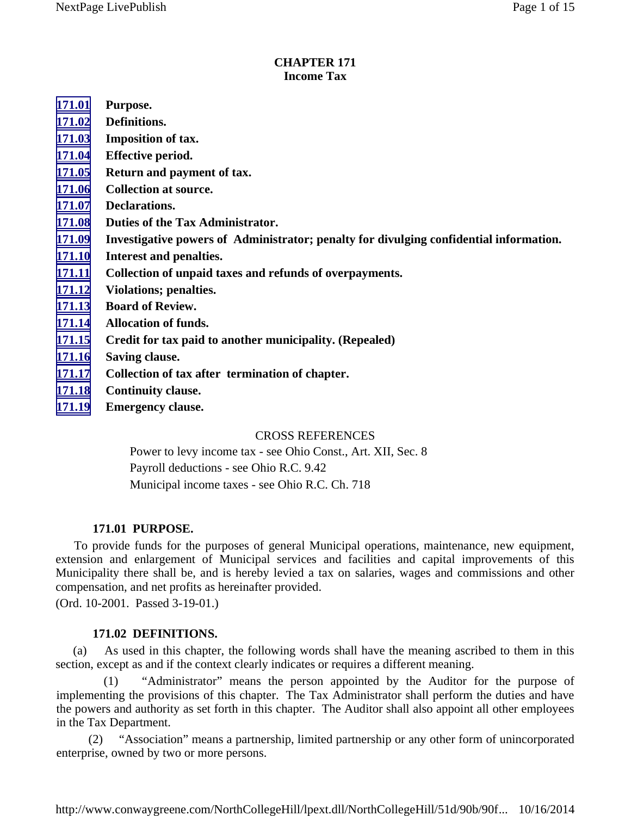#### **CHAPTER 171 Income Tax**

- **171.01 Purpose.**
- **171.02 Definitions.**
- **[171.03](#page-2-0) Imposition of tax.**
- **[171.04](#page-4-0) Effective period.**
- **[171.05](#page-4-0) Return and payment of tax.**
- **[171.06](#page-6-0) Collection at source.**
- **[171.07](#page-7-0) Declarations.**
- **[171.08](#page-8-0) Duties of the Tax Administrator.**
- **[171.09](#page-8-0) Investigative powers of Administrator; penalty for divulging confidential information.**
- **[171.10](#page-9-0) Interest and penalties.**
- **[171.11](#page-10-0) Collection of unpaid taxes and refunds of overpayments.**
- **[171.12](#page-11-0) Violations; penalties.**
- **[171.13](#page-12-0) Board of Review.**
- **[171.14](#page-13-0) Allocation of funds.**
- **[171.15](#page-13-0) Credit for tax paid to another municipality. (Repealed)**
- **[171.16](#page-13-0) Saving clause.**
- **[171.17](#page-13-0) Collection of tax after termination of chapter.**
- **[171.18](#page-13-0) Continuity clause.**
- **[171.19](#page-14-0) Emergency clause.**

### CROSS REFERENCES

Power to levy income tax - see Ohio Const., Art. XII, Sec. 8 Payroll deductions - see Ohio R.C. 9.42 Municipal income taxes - see Ohio R.C. Ch. 718

## **171.01 PURPOSE.**

To provide funds for the purposes of general Municipal operations, maintenance, new equipment, extension and enlargement of Municipal services and facilities and capital improvements of this Municipality there shall be, and is hereby levied a tax on salaries, wages and commissions and other compensation, and net profits as hereinafter provided.

(Ord. 10-2001. Passed 3-19-01.)

## **171.02 DEFINITIONS.**

(a) As used in this chapter, the following words shall have the meaning ascribed to them in this section, except as and if the context clearly indicates or requires a different meaning.

(1) "Administrator" means the person appointed by the Auditor for the purpose of implementing the provisions of this chapter. The Tax Administrator shall perform the duties and have the powers and authority as set forth in this chapter. The Auditor shall also appoint all other employees in the Tax Department.

(2) "Association" means a partnership, limited partnership or any other form of unincorporated enterprise, owned by two or more persons.

http://www.conwaygreene.com/NorthCollegeHill/lpext.dll/NorthCollegeHill/51d/90b/90f... 10/16/2014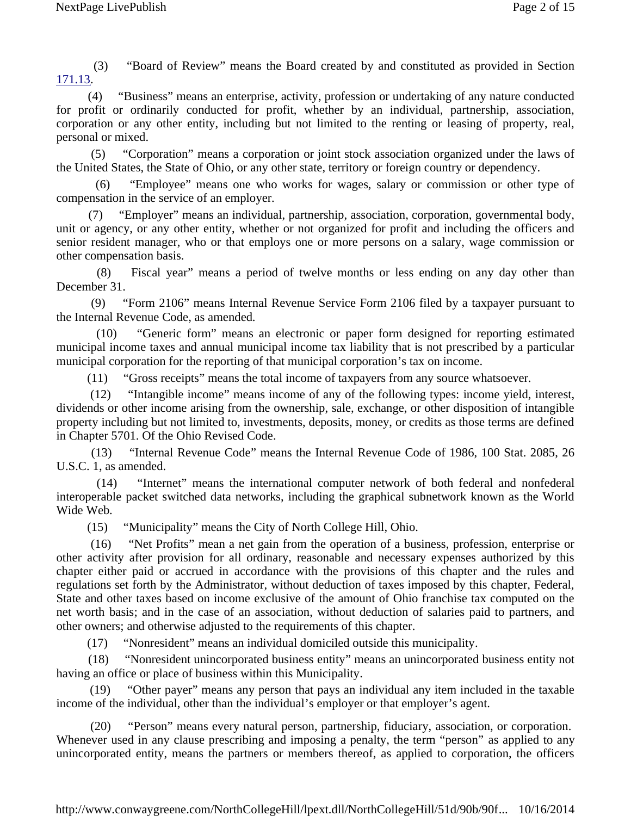(3) "Board of Review" means the Board created by and constituted as provided in Section 171.13.

 (4) "Business" means an enterprise, activity, profession or undertaking of any nature conducted for profit or ordinarily conducted for profit, whether by an individual, partnership, association, corporation or any other entity, including but not limited to the renting or leasing of property, real, personal or mixed.

 (5) "Corporation" means a corporation or joint stock association organized under the laws of the United States, the State of Ohio, or any other state, territory or foreign country or dependency.

 (6) "Employee" means one who works for wages, salary or commission or other type of compensation in the service of an employer.

"Employer" means an individual, partnership, association, corporation, governmental body, unit or agency, or any other entity, whether or not organized for profit and including the officers and senior resident manager, who or that employs one or more persons on a salary, wage commission or other compensation basis.

 (8) Fiscal year" means a period of twelve months or less ending on any day other than December 31.

 (9) "Form 2106" means Internal Revenue Service Form 2106 filed by a taxpayer pursuant to the Internal Revenue Code, as amended.

 (10) "Generic form" means an electronic or paper form designed for reporting estimated municipal income taxes and annual municipal income tax liability that is not prescribed by a particular municipal corporation for the reporting of that municipal corporation's tax on income.

(11) "Gross receipts" means the total income of taxpayers from any source whatsoever.

 (12) "Intangible income" means income of any of the following types: income yield, interest, dividends or other income arising from the ownership, sale, exchange, or other disposition of intangible property including but not limited to, investments, deposits, money, or credits as those terms are defined in Chapter 5701. Of the Ohio Revised Code.

 (13) "Internal Revenue Code" means the Internal Revenue Code of 1986, 100 Stat. 2085, 26 U.S.C. 1, as amended.

 (14) "Internet" means the international computer network of both federal and nonfederal interoperable packet switched data networks, including the graphical subnetwork known as the World Wide Web.

(15) "Municipality" means the City of North College Hill, Ohio.

 (16) "Net Profits" mean a net gain from the operation of a business, profession, enterprise or other activity after provision for all ordinary, reasonable and necessary expenses authorized by this chapter either paid or accrued in accordance with the provisions of this chapter and the rules and regulations set forth by the Administrator, without deduction of taxes imposed by this chapter, Federal, State and other taxes based on income exclusive of the amount of Ohio franchise tax computed on the net worth basis; and in the case of an association, without deduction of salaries paid to partners, and other owners; and otherwise adjusted to the requirements of this chapter.

(17) "Nonresident" means an individual domiciled outside this municipality.

 (18) "Nonresident unincorporated business entity" means an unincorporated business entity not having an office or place of business within this Municipality.

"Other payer" means any person that pays an individual any item included in the taxable income of the individual, other than the individual's employer or that employer's agent.

 (20) "Person" means every natural person, partnership, fiduciary, association, or corporation. Whenever used in any clause prescribing and imposing a penalty, the term "person" as applied to any unincorporated entity, means the partners or members thereof, as applied to corporation, the officers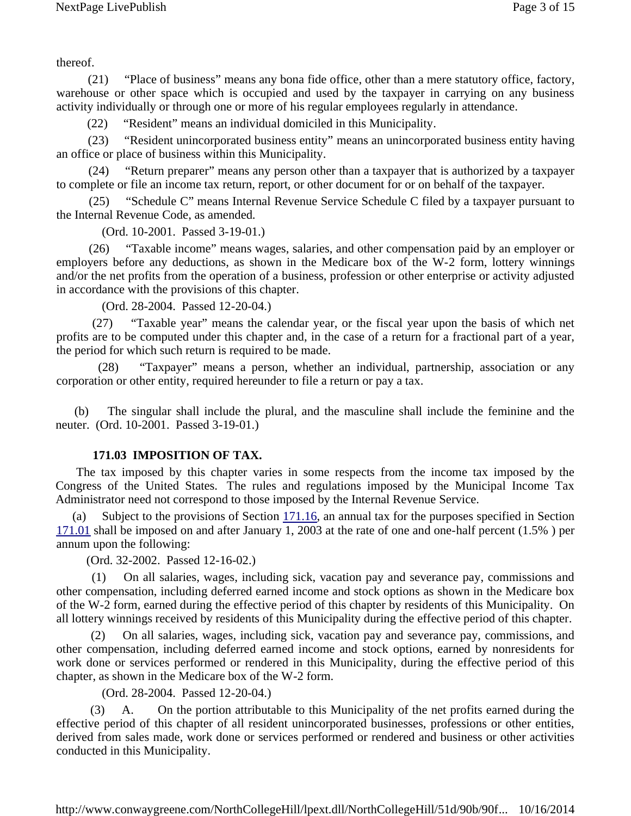<span id="page-2-0"></span>thereof.

 (21) "Place of business" means any bona fide office, other than a mere statutory office, factory, warehouse or other space which is occupied and used by the taxpayer in carrying on any business activity individually or through one or more of his regular employees regularly in attendance.

(22) "Resident" means an individual domiciled in this Municipality.

 (23) "Resident unincorporated business entity" means an unincorporated business entity having an office or place of business within this Municipality.

 (24) "Return preparer" means any person other than a taxpayer that is authorized by a taxpayer to complete or file an income tax return, report, or other document for or on behalf of the taxpayer.

 (25) "Schedule C" means Internal Revenue Service Schedule C filed by a taxpayer pursuant to the Internal Revenue Code, as amended.

(Ord. 10-2001. Passed 3-19-01.)

 (26) "Taxable income" means wages, salaries, and other compensation paid by an employer or employers before any deductions, as shown in the Medicare box of the W-2 form, lottery winnings and/or the net profits from the operation of a business, profession or other enterprise or activity adjusted in accordance with the provisions of this chapter.

(Ord. 28-2004. Passed 12-20-04.)

 (27) "Taxable year" means the calendar year, or the fiscal year upon the basis of which net profits are to be computed under this chapter and, in the case of a return for a fractional part of a year, the period for which such return is required to be made.

 (28) "Taxpayer" means a person, whether an individual, partnership, association or any corporation or other entity, required hereunder to file a return or pay a tax.

(b) The singular shall include the plural, and the masculine shall include the feminine and the neuter. (Ord. 10-2001. Passed 3-19-01.)

# **171.03 IMPOSITION OF TAX.**

The tax imposed by this chapter varies in some respects from the income tax imposed by the Congress of the United States. The rules and regulations imposed by the Municipal Income Tax Administrator need not correspond to those imposed by the Internal Revenue Service.

Subject to the provisions of Section  $171.16$ , an annual tax for the purposes specified in Section 171.01 shall be imposed on and after January 1, 2003 at the rate of one and one-half percent (1.5% ) per annum upon the following:

(Ord. 32-2002. Passed 12-16-02.)

 (1) On all salaries, wages, including sick, vacation pay and severance pay, commissions and other compensation, including deferred earned income and stock options as shown in the Medicare box of the W-2 form, earned during the effective period of this chapter by residents of this Municipality. On all lottery winnings received by residents of this Municipality during the effective period of this chapter.

 (2) On all salaries, wages, including sick, vacation pay and severance pay, commissions, and other compensation, including deferred earned income and stock options, earned by nonresidents for work done or services performed or rendered in this Municipality, during the effective period of this chapter, as shown in the Medicare box of the W-2 form.

(Ord. 28-2004. Passed 12-20-04.)

 (3) A. On the portion attributable to this Municipality of the net profits earned during the effective period of this chapter of all resident unincorporated businesses, professions or other entities, derived from sales made, work done or services performed or rendered and business or other activities conducted in this Municipality.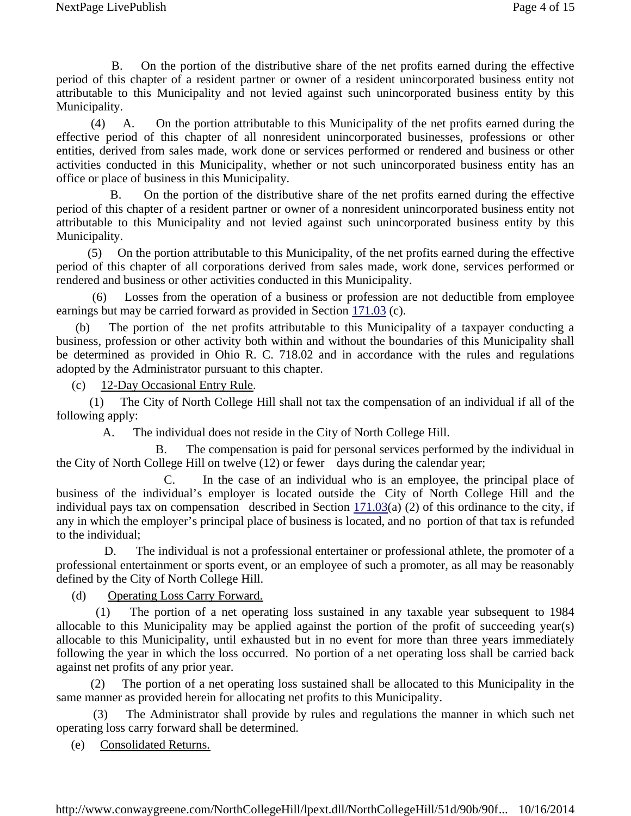B. On the portion of the distributive share of the net profits earned during the effective period of this chapter of a resident partner or owner of a resident unincorporated business entity not attributable to this Municipality and not levied against such unincorporated business entity by this Municipality.

 (4) A. On the portion attributable to this Municipality of the net profits earned during the effective period of this chapter of all nonresident unincorporated businesses, professions or other entities, derived from sales made, work done or services performed or rendered and business or other activities conducted in this Municipality, whether or not such unincorporated business entity has an office or place of business in this Municipality.

 B. On the portion of the distributive share of the net profits earned during the effective period of this chapter of a resident partner or owner of a nonresident unincorporated business entity not attributable to this Municipality and not levied against such unincorporated business entity by this Municipality.

 (5) On the portion attributable to this Municipality, of the net profits earned during the effective period of this chapter of all corporations derived from sales made, work done, services performed or rendered and business or other activities conducted in this Municipality.

Losses from the operation of a business or profession are not deductible from employee earnings but may be carried forward as provided in Section 171.03 (c).

(b) The portion of the net profits attributable to this Municipality of a taxpayer conducting a business, profession or other activity both within and without the boundaries of this Municipality shall be determined as provided in Ohio R. C. 718.02 and in accordance with the rules and regulations adopted by the Administrator pursuant to this chapter.

(c) 12-Day Occasional Entry Rule.

(1) The City of North College Hill shall not tax the compensation of an individual if all of the following apply:

A. The individual does not reside in the City of North College Hill.

 B. The compensation is paid for personal services performed by the individual in the City of North College Hill on twelve (12) or fewer days during the calendar year;

 C. In the case of an individual who is an employee, the principal place of business of the individual's employer is located outside the City of North College Hill and the individual pays tax on compensation described in Section 171.03(a) (2) of this ordinance to the city, if any in which the employer's principal place of business is located, and no portion of that tax is refunded to the individual;

 D. The individual is not a professional entertainer or professional athlete, the promoter of a professional entertainment or sports event, or an employee of such a promoter, as all may be reasonably defined by the City of North College Hill.

(d) Operating Loss Carry Forward.

 (1) The portion of a net operating loss sustained in any taxable year subsequent to 1984 allocable to this Municipality may be applied against the portion of the profit of succeeding year(s) allocable to this Municipality, until exhausted but in no event for more than three years immediately following the year in which the loss occurred. No portion of a net operating loss shall be carried back against net profits of any prior year.

 (2) The portion of a net operating loss sustained shall be allocated to this Municipality in the same manner as provided herein for allocating net profits to this Municipality.

The Administrator shall provide by rules and regulations the manner in which such net operating loss carry forward shall be determined.

(e) Consolidated Returns.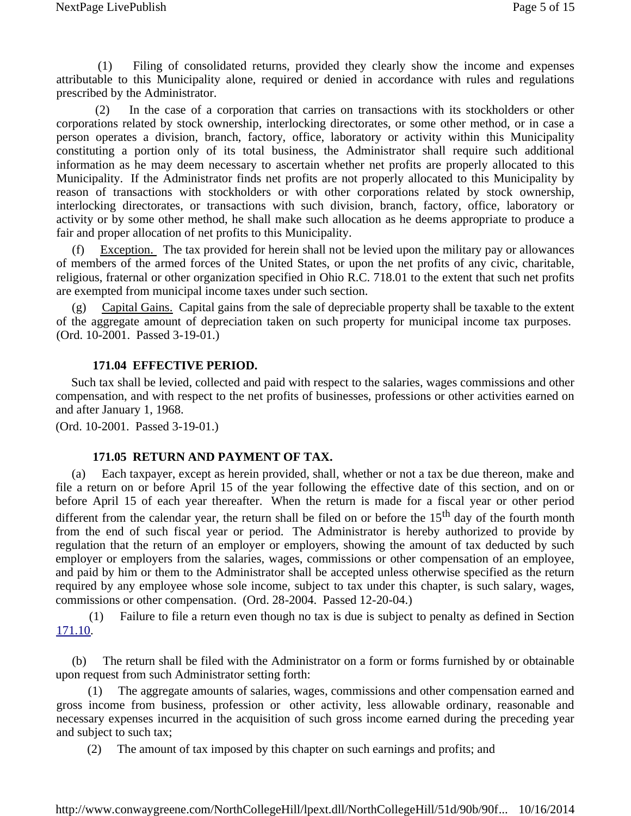<span id="page-4-0"></span> (1) Filing of consolidated returns, provided they clearly show the income and expenses attributable to this Municipality alone, required or denied in accordance with rules and regulations prescribed by the Administrator.

 (2) In the case of a corporation that carries on transactions with its stockholders or other corporations related by stock ownership, interlocking directorates, or some other method, or in case a person operates a division, branch, factory, office, laboratory or activity within this Municipality constituting a portion only of its total business, the Administrator shall require such additional information as he may deem necessary to ascertain whether net profits are properly allocated to this Municipality. If the Administrator finds net profits are not properly allocated to this Municipality by reason of transactions with stockholders or with other corporations related by stock ownership, interlocking directorates, or transactions with such division, branch, factory, office, laboratory or activity or by some other method, he shall make such allocation as he deems appropriate to produce a fair and proper allocation of net profits to this Municipality.

Exception. The tax provided for herein shall not be levied upon the military pay or allowances of members of the armed forces of the United States, or upon the net profits of any civic, charitable, religious, fraternal or other organization specified in Ohio R.C. 718.01 to the extent that such net profits are exempted from municipal income taxes under such section.

(g) Capital Gains. Capital gains from the sale of depreciable property shall be taxable to the extent of the aggregate amount of depreciation taken on such property for municipal income tax purposes. (Ord. 10-2001. Passed 3-19-01.)

### **171.04 EFFECTIVE PERIOD.**

Such tax shall be levied, collected and paid with respect to the salaries, wages commissions and other compensation, and with respect to the net profits of businesses, professions or other activities earned on and after January 1, 1968.

(Ord. 10-2001. Passed 3-19-01.)

### **171.05 RETURN AND PAYMENT OF TAX.**

(a) Each taxpayer, except as herein provided, shall, whether or not a tax be due thereon, make and file a return on or before April 15 of the year following the effective date of this section, and on or before April 15 of each year thereafter. When the return is made for a fiscal year or other period different from the calendar year, the return shall be filed on or before the 15<sup>th</sup> day of the fourth month from the end of such fiscal year or period. The Administrator is hereby authorized to provide by regulation that the return of an employer or employers, showing the amount of tax deducted by such employer or employers from the salaries, wages, commissions or other compensation of an employee, and paid by him or them to the Administrator shall be accepted unless otherwise specified as the return required by any employee whose sole income, subject to tax under this chapter, is such salary, wages, commissions or other compensation. (Ord. 28-2004. Passed 12-20-04.)

 (1) Failure to file a return even though no tax is due is subject to penalty as defined in Section 171.10.

(b) The return shall be filed with the Administrator on a form or forms furnished by or obtainable upon request from such Administrator setting forth:

 (1) The aggregate amounts of salaries, wages, commissions and other compensation earned and gross income from business, profession or other activity, less allowable ordinary, reasonable and necessary expenses incurred in the acquisition of such gross income earned during the preceding year and subject to such tax;

(2) The amount of tax imposed by this chapter on such earnings and profits; and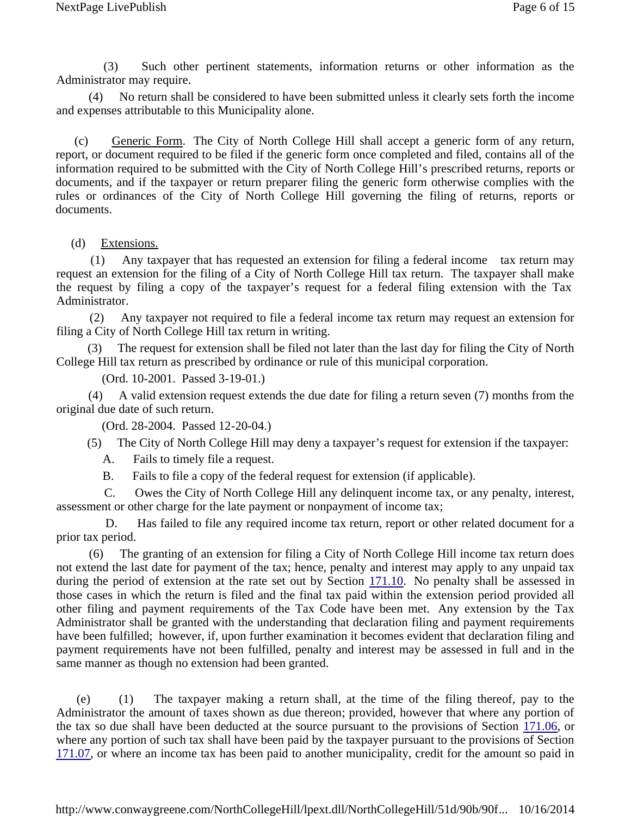(3) Such other pertinent statements, information returns or other information as the Administrator may require.

 (4) No return shall be considered to have been submitted unless it clearly sets forth the income and expenses attributable to this Municipality alone.

(c) Generic Form. The City of North College Hill shall accept a generic form of any return, report, or document required to be filed if the generic form once completed and filed, contains all of the information required to be submitted with the City of North College Hill's prescribed returns, reports or documents, and if the taxpayer or return preparer filing the generic form otherwise complies with the rules or ordinances of the City of North College Hill governing the filing of returns, reports or documents.

### (d) Extensions.

 (1) Any taxpayer that has requested an extension for filing a federal income tax return may request an extension for the filing of a City of North College Hill tax return. The taxpayer shall make the request by filing a copy of the taxpayer's request for a federal filing extension with the Tax Administrator.

 (2) Any taxpayer not required to file a federal income tax return may request an extension for filing a City of North College Hill tax return in writing.

 (3) The request for extension shall be filed not later than the last day for filing the City of North College Hill tax return as prescribed by ordinance or rule of this municipal corporation.

(Ord. 10-2001. Passed 3-19-01.)

 (4) A valid extension request extends the due date for filing a return seven (7) months from the original due date of such return.

(Ord. 28-2004. Passed 12-20-04.)

(5) The City of North College Hill may deny a taxpayer's request for extension if the taxpayer:

A. Fails to timely file a request.

B. Fails to file a copy of the federal request for extension (if applicable).

 C. Owes the City of North College Hill any delinquent income tax, or any penalty, interest, assessment or other charge for the late payment or nonpayment of income tax;

 D. Has failed to file any required income tax return, report or other related document for a prior tax period.

 (6) The granting of an extension for filing a City of North College Hill income tax return does not extend the last date for payment of the tax; hence, penalty and interest may apply to any unpaid tax during the period of extension at the rate set out by Section 171.10. No penalty shall be assessed in those cases in which the return is filed and the final tax paid within the extension period provided all other filing and payment requirements of the Tax Code have been met. Any extension by the Tax Administrator shall be granted with the understanding that declaration filing and payment requirements have been fulfilled; however, if, upon further examination it becomes evident that declaration filing and payment requirements have not been fulfilled, penalty and interest may be assessed in full and in the same manner as though no extension had been granted.

(e) (1) The taxpayer making a return shall, at the time of the filing thereof, pay to the Administrator the amount of taxes shown as due thereon; provided, however that where any portion of the tax so due shall have been deducted at the source pursuant to the provisions of Section 171.06, or where any portion of such tax shall have been paid by the taxpayer pursuant to the provisions of Section 171.07, or where an income tax has been paid to another municipality, credit for the amount so paid in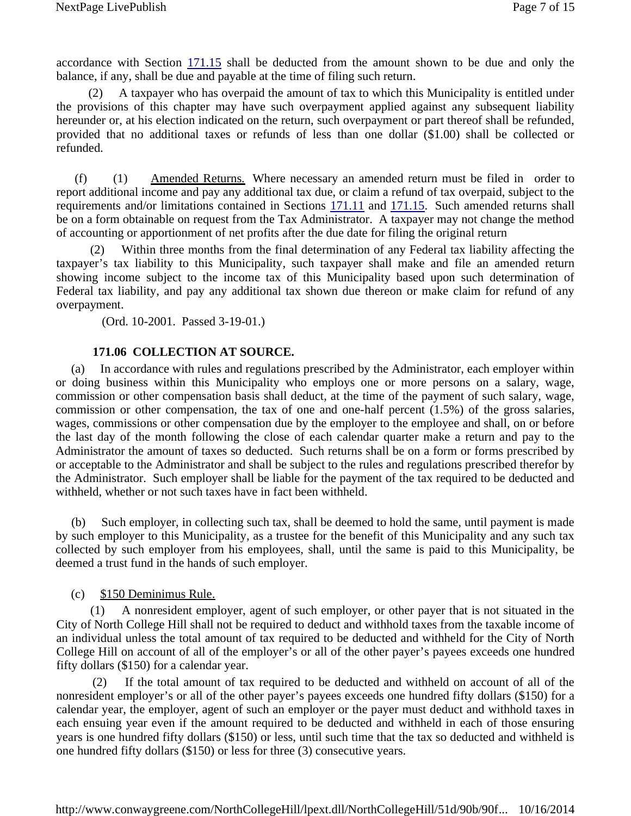<span id="page-6-0"></span>accordance with Section 171.15 shall be deducted from the amount shown to be due and only the balance, if any, shall be due and payable at the time of filing such return.

 (2) A taxpayer who has overpaid the amount of tax to which this Municipality is entitled under the provisions of this chapter may have such overpayment applied against any subsequent liability hereunder or, at his election indicated on the return, such overpayment or part thereof shall be refunded, provided that no additional taxes or refunds of less than one dollar (\$1.00) shall be collected or refunded.

(f) (1) Amended Returns. Where necessary an amended return must be filed in order to report additional income and pay any additional tax due, or claim a refund of tax overpaid, subject to the requirements and/or limitations contained in Sections 171.11 and 171.15. Such amended returns shall be on a form obtainable on request from the Tax Administrator. A taxpayer may not change the method of accounting or apportionment of net profits after the due date for filing the original return

 (2) Within three months from the final determination of any Federal tax liability affecting the taxpayer's tax liability to this Municipality, such taxpayer shall make and file an amended return showing income subject to the income tax of this Municipality based upon such determination of Federal tax liability, and pay any additional tax shown due thereon or make claim for refund of any overpayment.

(Ord. 10-2001. Passed 3-19-01.)

### **171.06 COLLECTION AT SOURCE.**

(a) In accordance with rules and regulations prescribed by the Administrator, each employer within or doing business within this Municipality who employs one or more persons on a salary, wage, commission or other compensation basis shall deduct, at the time of the payment of such salary, wage, commission or other compensation, the tax of one and one-half percent (1.5%) of the gross salaries, wages, commissions or other compensation due by the employer to the employee and shall, on or before the last day of the month following the close of each calendar quarter make a return and pay to the Administrator the amount of taxes so deducted. Such returns shall be on a form or forms prescribed by or acceptable to the Administrator and shall be subject to the rules and regulations prescribed therefor by the Administrator. Such employer shall be liable for the payment of the tax required to be deducted and withheld, whether or not such taxes have in fact been withheld.

(b) Such employer, in collecting such tax, shall be deemed to hold the same, until payment is made by such employer to this Municipality, as a trustee for the benefit of this Municipality and any such tax collected by such employer from his employees, shall, until the same is paid to this Municipality, be deemed a trust fund in the hands of such employer.

### (c) \$150 Deminimus Rule.

 (1) A nonresident employer, agent of such employer, or other payer that is not situated in the City of North College Hill shall not be required to deduct and withhold taxes from the taxable income of an individual unless the total amount of tax required to be deducted and withheld for the City of North College Hill on account of all of the employer's or all of the other payer's payees exceeds one hundred fifty dollars (\$150) for a calendar year.

If the total amount of tax required to be deducted and withheld on account of all of the nonresident employer's or all of the other payer's payees exceeds one hundred fifty dollars (\$150) for a calendar year, the employer, agent of such an employer or the payer must deduct and withhold taxes in each ensuing year even if the amount required to be deducted and withheld in each of those ensuring years is one hundred fifty dollars (\$150) or less, until such time that the tax so deducted and withheld is one hundred fifty dollars (\$150) or less for three (3) consecutive years.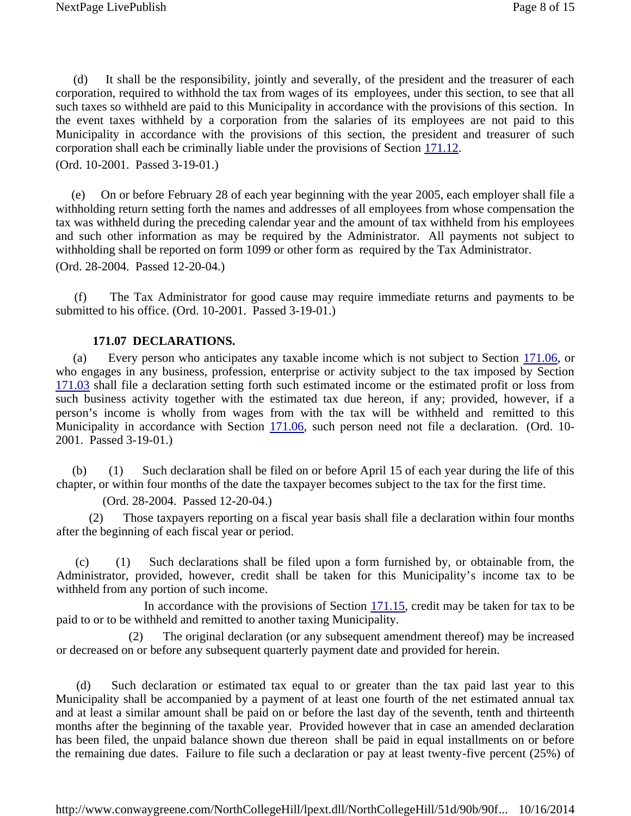<span id="page-7-0"></span>(d) It shall be the responsibility, jointly and severally, of the president and the treasurer of each corporation, required to withhold the tax from wages of its employees, under this section, to see that all such taxes so withheld are paid to this Municipality in accordance with the provisions of this section. In the event taxes withheld by a corporation from the salaries of its employees are not paid to this Municipality in accordance with the provisions of this section, the president and treasurer of such corporation shall each be criminally liable under the provisions of Section 171.12.

(Ord. 10-2001. Passed 3-19-01.)

(e) On or before February 28 of each year beginning with the year 2005, each employer shall file a withholding return setting forth the names and addresses of all employees from whose compensation the tax was withheld during the preceding calendar year and the amount of tax withheld from his employees and such other information as may be required by the Administrator. All payments not subject to withholding shall be reported on form 1099 or other form as required by the Tax Administrator. (Ord. 28-2004. Passed 12-20-04.)

(f) The Tax Administrator for good cause may require immediate returns and payments to be submitted to his office. (Ord. 10-2001. Passed 3-19-01.)

### **171.07 DECLARATIONS.**

(a) Every person who anticipates any taxable income which is not subject to Section 171.06, or who engages in any business, profession, enterprise or activity subject to the tax imposed by Section 171.03 shall file a declaration setting forth such estimated income or the estimated profit or loss from such business activity together with the estimated tax due hereon, if any; provided, however, if a person's income is wholly from wages from with the tax will be withheld and remitted to this Municipality in accordance with Section 171.06, such person need not file a declaration. (Ord. 10- 2001. Passed 3-19-01.)

(b) (1) Such declaration shall be filed on or before April 15 of each year during the life of this chapter, or within four months of the date the taxpayer becomes subject to the tax for the first time.

(Ord. 28-2004. Passed 12-20-04.)

Those taxpayers reporting on a fiscal year basis shall file a declaration within four months after the beginning of each fiscal year or period.

(c) (1) Such declarations shall be filed upon a form furnished by, or obtainable from, the Administrator, provided, however, credit shall be taken for this Municipality's income tax to be withheld from any portion of such income.

In accordance with the provisions of Section  $171.15$ , credit may be taken for tax to be paid to or to be withheld and remitted to another taxing Municipality.

 (2) The original declaration (or any subsequent amendment thereof) may be increased or decreased on or before any subsequent quarterly payment date and provided for herein.

(d) Such declaration or estimated tax equal to or greater than the tax paid last year to this Municipality shall be accompanied by a payment of at least one fourth of the net estimated annual tax and at least a similar amount shall be paid on or before the last day of the seventh, tenth and thirteenth months after the beginning of the taxable year. Provided however that in case an amended declaration has been filed, the unpaid balance shown due thereon shall be paid in equal installments on or before the remaining due dates. Failure to file such a declaration or pay at least twenty-five percent (25%) of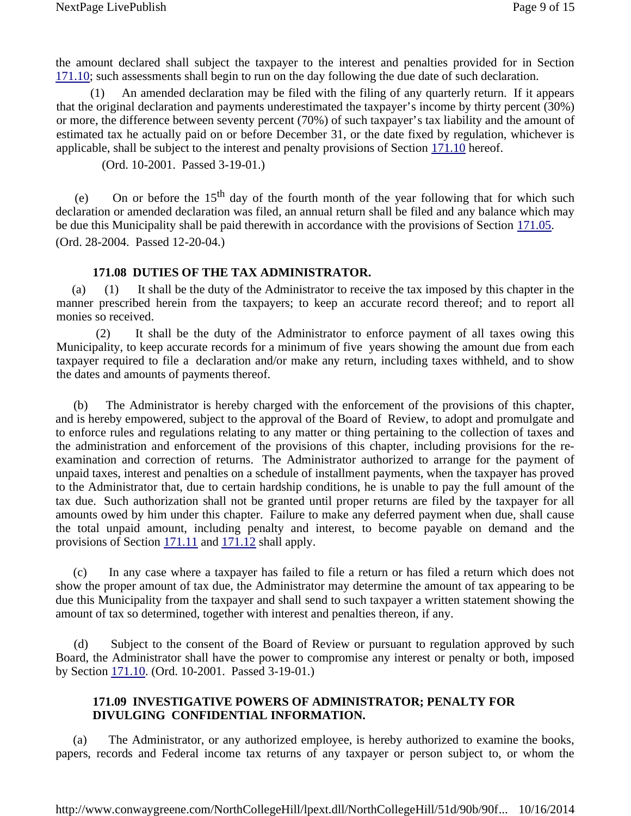<span id="page-8-0"></span>the amount declared shall subject the taxpayer to the interest and penalties provided for in Section 171.10; such assessments shall begin to run on the day following the due date of such declaration.

 (1) An amended declaration may be filed with the filing of any quarterly return. If it appears that the original declaration and payments underestimated the taxpayer's income by thirty percent (30%) or more, the difference between seventy percent (70%) of such taxpayer's tax liability and the amount of estimated tax he actually paid on or before December 31, or the date fixed by regulation, whichever is applicable, shall be subject to the interest and penalty provisions of Section 171.10 hereof.

(Ord. 10-2001. Passed 3-19-01.)

(e) On or before the  $15<sup>th</sup>$  day of the fourth month of the year following that for which such declaration or amended declaration was filed, an annual return shall be filed and any balance which may be due this Municipality shall be paid therewith in accordance with the provisions of Section 171.05. (Ord. 28-2004. Passed 12-20-04.)

### **171.08 DUTIES OF THE TAX ADMINISTRATOR.**

(a) (1) It shall be the duty of the Administrator to receive the tax imposed by this chapter in the manner prescribed herein from the taxpayers; to keep an accurate record thereof; and to report all monies so received.

 (2) It shall be the duty of the Administrator to enforce payment of all taxes owing this Municipality, to keep accurate records for a minimum of five years showing the amount due from each taxpayer required to file a declaration and/or make any return, including taxes withheld, and to show the dates and amounts of payments thereof.

(b) The Administrator is hereby charged with the enforcement of the provisions of this chapter, and is hereby empowered, subject to the approval of the Board of Review, to adopt and promulgate and to enforce rules and regulations relating to any matter or thing pertaining to the collection of taxes and the administration and enforcement of the provisions of this chapter, including provisions for the reexamination and correction of returns. The Administrator authorized to arrange for the payment of unpaid taxes, interest and penalties on a schedule of installment payments, when the taxpayer has proved to the Administrator that, due to certain hardship conditions, he is unable to pay the full amount of the tax due. Such authorization shall not be granted until proper returns are filed by the taxpayer for all amounts owed by him under this chapter. Failure to make any deferred payment when due, shall cause the total unpaid amount, including penalty and interest, to become payable on demand and the provisions of Section 171.11 and 171.12 shall apply.

(c) In any case where a taxpayer has failed to file a return or has filed a return which does not show the proper amount of tax due, the Administrator may determine the amount of tax appearing to be due this Municipality from the taxpayer and shall send to such taxpayer a written statement showing the amount of tax so determined, together with interest and penalties thereon, if any.

(d) Subject to the consent of the Board of Review or pursuant to regulation approved by such Board, the Administrator shall have the power to compromise any interest or penalty or both, imposed by Section 171.10. (Ord. 10-2001. Passed 3-19-01.)

## **171.09 INVESTIGATIVE POWERS OF ADMINISTRATOR; PENALTY FOR DIVULGING CONFIDENTIAL INFORMATION.**

(a) The Administrator, or any authorized employee, is hereby authorized to examine the books, papers, records and Federal income tax returns of any taxpayer or person subject to, or whom the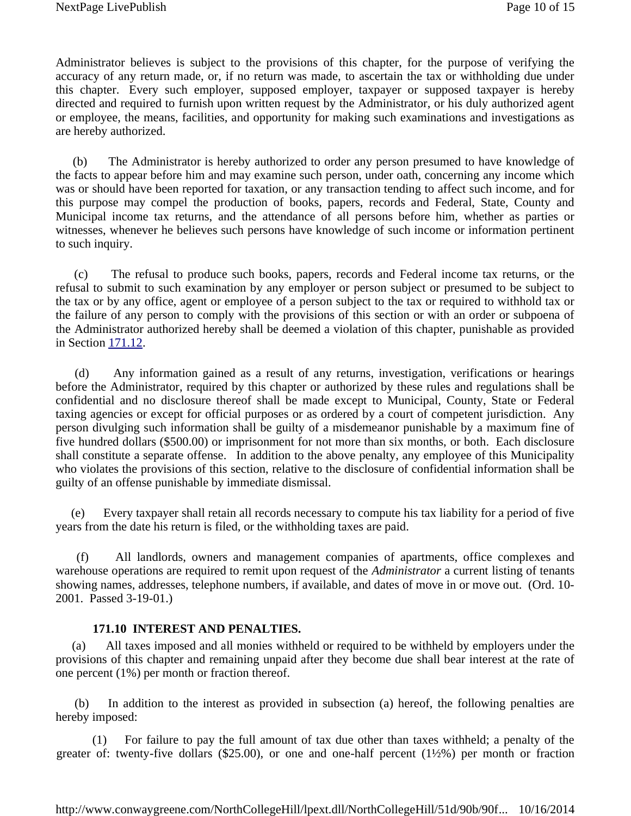<span id="page-9-0"></span>Administrator believes is subject to the provisions of this chapter, for the purpose of verifying the accuracy of any return made, or, if no return was made, to ascertain the tax or withholding due under this chapter. Every such employer, supposed employer, taxpayer or supposed taxpayer is hereby directed and required to furnish upon written request by the Administrator, or his duly authorized agent or employee, the means, facilities, and opportunity for making such examinations and investigations as are hereby authorized.

(b) The Administrator is hereby authorized to order any person presumed to have knowledge of the facts to appear before him and may examine such person, under oath, concerning any income which was or should have been reported for taxation, or any transaction tending to affect such income, and for this purpose may compel the production of books, papers, records and Federal, State, County and Municipal income tax returns, and the attendance of all persons before him, whether as parties or witnesses, whenever he believes such persons have knowledge of such income or information pertinent to such inquiry.

(c) The refusal to produce such books, papers, records and Federal income tax returns, or the refusal to submit to such examination by any employer or person subject or presumed to be subject to the tax or by any office, agent or employee of a person subject to the tax or required to withhold tax or the failure of any person to comply with the provisions of this section or with an order or subpoena of the Administrator authorized hereby shall be deemed a violation of this chapter, punishable as provided in Section 171.12.

(d) Any information gained as a result of any returns, investigation, verifications or hearings before the Administrator, required by this chapter or authorized by these rules and regulations shall be confidential and no disclosure thereof shall be made except to Municipal, County, State or Federal taxing agencies or except for official purposes or as ordered by a court of competent jurisdiction. Any person divulging such information shall be guilty of a misdemeanor punishable by a maximum fine of five hundred dollars (\$500.00) or imprisonment for not more than six months, or both. Each disclosure shall constitute a separate offense. In addition to the above penalty, any employee of this Municipality who violates the provisions of this section, relative to the disclosure of confidential information shall be guilty of an offense punishable by immediate dismissal.

(e) Every taxpayer shall retain all records necessary to compute his tax liability for a period of five years from the date his return is filed, or the withholding taxes are paid.

(f) All landlords, owners and management companies of apartments, office complexes and warehouse operations are required to remit upon request of the *Administrator* a current listing of tenants showing names, addresses, telephone numbers, if available, and dates of move in or move out. (Ord. 10- 2001. Passed 3-19-01.)

## **171.10 INTEREST AND PENALTIES.**

(a) All taxes imposed and all monies withheld or required to be withheld by employers under the provisions of this chapter and remaining unpaid after they become due shall bear interest at the rate of one percent (1%) per month or fraction thereof.

(b) In addition to the interest as provided in subsection (a) hereof, the following penalties are hereby imposed:

 (1) For failure to pay the full amount of tax due other than taxes withheld; a penalty of the greater of: twenty-five dollars (\$25.00), or one and one-half percent (1½%) per month or fraction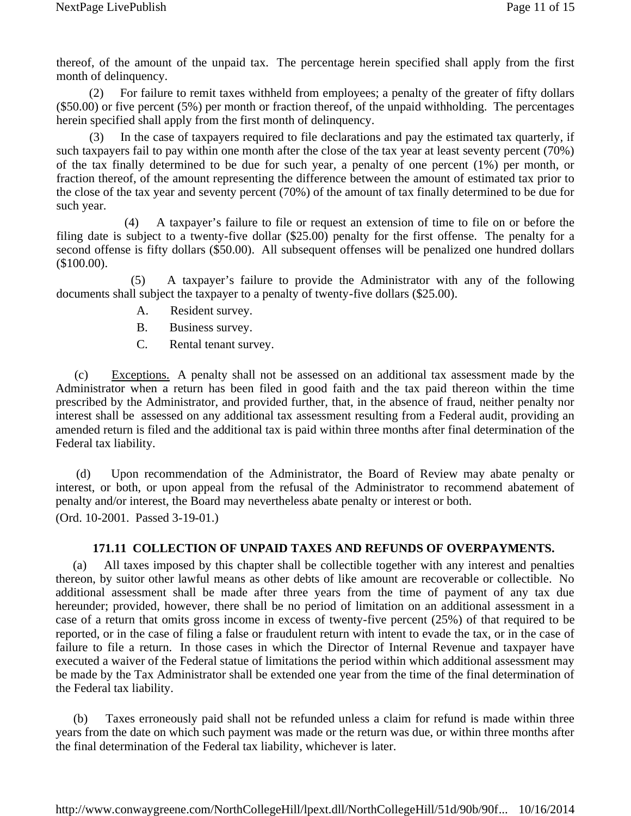<span id="page-10-0"></span>thereof, of the amount of the unpaid tax. The percentage herein specified shall apply from the first month of delinquency.

 (2) For failure to remit taxes withheld from employees; a penalty of the greater of fifty dollars (\$50.00) or five percent (5%) per month or fraction thereof, of the unpaid withholding. The percentages herein specified shall apply from the first month of delinquency.

 (3) In the case of taxpayers required to file declarations and pay the estimated tax quarterly, if such taxpayers fail to pay within one month after the close of the tax year at least seventy percent (70%) of the tax finally determined to be due for such year, a penalty of one percent (1%) per month, or fraction thereof, of the amount representing the difference between the amount of estimated tax prior to the close of the tax year and seventy percent (70%) of the amount of tax finally determined to be due for such year.

 (4) A taxpayer's failure to file or request an extension of time to file on or before the filing date is subject to a twenty-five dollar (\$25.00) penalty for the first offense. The penalty for a second offense is fifty dollars (\$50.00). All subsequent offenses will be penalized one hundred dollars (\$100.00).

 (5) A taxpayer's failure to provide the Administrator with any of the following documents shall subject the taxpayer to a penalty of twenty-five dollars (\$25.00).

- A. Resident survey.
- B. Business survey.
- C. Rental tenant survey.

(c) Exceptions. A penalty shall not be assessed on an additional tax assessment made by the Administrator when a return has been filed in good faith and the tax paid thereon within the time prescribed by the Administrator, and provided further, that, in the absence of fraud, neither penalty nor interest shall be assessed on any additional tax assessment resulting from a Federal audit, providing an amended return is filed and the additional tax is paid within three months after final determination of the Federal tax liability.

(d) Upon recommendation of the Administrator, the Board of Review may abate penalty or interest, or both, or upon appeal from the refusal of the Administrator to recommend abatement of penalty and/or interest, the Board may nevertheless abate penalty or interest or both. (Ord. 10-2001. Passed 3-19-01.)

## **171.11 COLLECTION OF UNPAID TAXES AND REFUNDS OF OVERPAYMENTS.**

(a) All taxes imposed by this chapter shall be collectible together with any interest and penalties thereon, by suitor other lawful means as other debts of like amount are recoverable or collectible. No additional assessment shall be made after three years from the time of payment of any tax due hereunder; provided, however, there shall be no period of limitation on an additional assessment in a case of a return that omits gross income in excess of twenty-five percent (25%) of that required to be reported, or in the case of filing a false or fraudulent return with intent to evade the tax, or in the case of failure to file a return. In those cases in which the Director of Internal Revenue and taxpayer have executed a waiver of the Federal statue of limitations the period within which additional assessment may be made by the Tax Administrator shall be extended one year from the time of the final determination of the Federal tax liability.

(b) Taxes erroneously paid shall not be refunded unless a claim for refund is made within three years from the date on which such payment was made or the return was due, or within three months after the final determination of the Federal tax liability, whichever is later.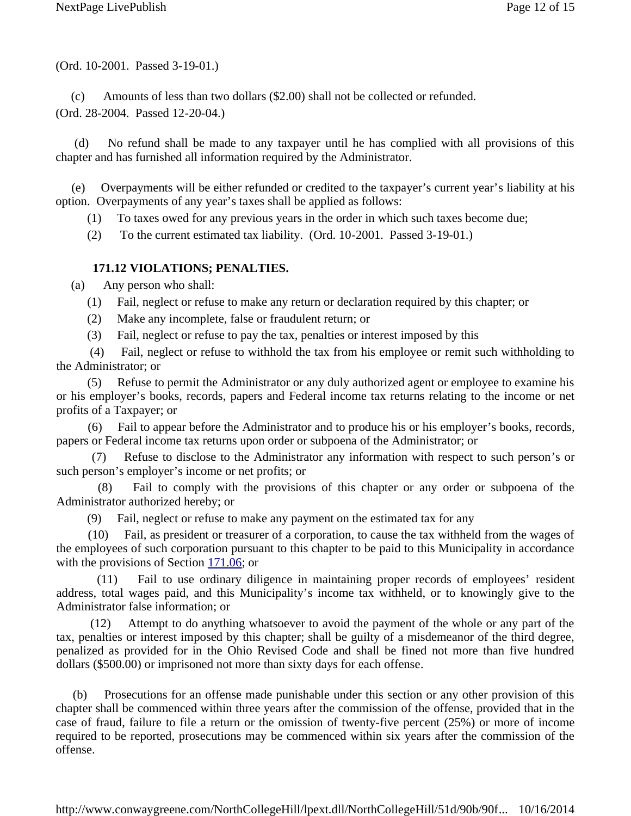<span id="page-11-0"></span>(Ord. 10-2001. Passed 3-19-01.)

(c) Amounts of less than two dollars (\$2.00) shall not be collected or refunded. (Ord. 28-2004. Passed 12-20-04.)

(d) No refund shall be made to any taxpayer until he has complied with all provisions of this chapter and has furnished all information required by the Administrator.

(e) Overpayments will be either refunded or credited to the taxpayer's current year's liability at his option. Overpayments of any year's taxes shall be applied as follows:

(1) To taxes owed for any previous years in the order in which such taxes become due;

(2) To the current estimated tax liability. (Ord. 10-2001. Passed 3-19-01.)

## **171.12 VIOLATIONS; PENALTIES.**

(a) Any person who shall:

- (1) Fail, neglect or refuse to make any return or declaration required by this chapter; or
- (2) Make any incomplete, false or fraudulent return; or
- (3) Fail, neglect or refuse to pay the tax, penalties or interest imposed by this

 (4) Fail, neglect or refuse to withhold the tax from his employee or remit such withholding to the Administrator; or

 (5) Refuse to permit the Administrator or any duly authorized agent or employee to examine his or his employer's books, records, papers and Federal income tax returns relating to the income or net profits of a Taxpayer; or

 (6) Fail to appear before the Administrator and to produce his or his employer's books, records, papers or Federal income tax returns upon order or subpoena of the Administrator; or

 (7) Refuse to disclose to the Administrator any information with respect to such person's or such person's employer's income or net profits; or

 (8) Fail to comply with the provisions of this chapter or any order or subpoena of the Administrator authorized hereby; or

(9) Fail, neglect or refuse to make any payment on the estimated tax for any

 (10) Fail, as president or treasurer of a corporation, to cause the tax withheld from the wages of the employees of such corporation pursuant to this chapter to be paid to this Municipality in accordance with the provisions of Section 171.06; or

(11) Fail to use ordinary diligence in maintaining proper records of employees' resident address, total wages paid, and this Municipality's income tax withheld, or to knowingly give to the Administrator false information; or

 (12) Attempt to do anything whatsoever to avoid the payment of the whole or any part of the tax, penalties or interest imposed by this chapter; shall be guilty of a misdemeanor of the third degree, penalized as provided for in the Ohio Revised Code and shall be fined not more than five hundred dollars (\$500.00) or imprisoned not more than sixty days for each offense.

(b) Prosecutions for an offense made punishable under this section or any other provision of this chapter shall be commenced within three years after the commission of the offense, provided that in the case of fraud, failure to file a return or the omission of twenty-five percent (25%) or more of income required to be reported, prosecutions may be commenced within six years after the commission of the offense.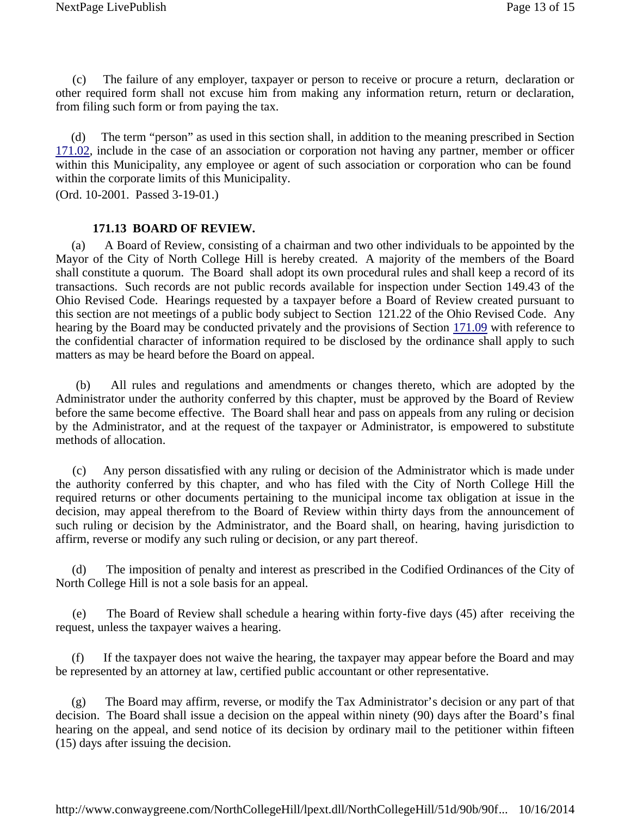<span id="page-12-0"></span>(c) The failure of any employer, taxpayer or person to receive or procure a return, declaration or other required form shall not excuse him from making any information return, return or declaration, from filing such form or from paying the tax.

(d) The term "person" as used in this section shall, in addition to the meaning prescribed in Section 171.02, include in the case of an association or corporation not having any partner, member or officer within this Municipality, any employee or agent of such association or corporation who can be found within the corporate limits of this Municipality.

(Ord. 10-2001. Passed 3-19-01.)

#### **171.13 BOARD OF REVIEW.**

(a) A Board of Review, consisting of a chairman and two other individuals to be appointed by the Mayor of the City of North College Hill is hereby created. A majority of the members of the Board shall constitute a quorum. The Board shall adopt its own procedural rules and shall keep a record of its transactions. Such records are not public records available for inspection under Section 149.43 of the Ohio Revised Code. Hearings requested by a taxpayer before a Board of Review created pursuant to this section are not meetings of a public body subject to Section 121.22 of the Ohio Revised Code. Any hearing by the Board may be conducted privately and the provisions of Section 171.09 with reference to the confidential character of information required to be disclosed by the ordinance shall apply to such matters as may be heard before the Board on appeal.

(b) All rules and regulations and amendments or changes thereto, which are adopted by the Administrator under the authority conferred by this chapter, must be approved by the Board of Review before the same become effective. The Board shall hear and pass on appeals from any ruling or decision by the Administrator, and at the request of the taxpayer or Administrator, is empowered to substitute methods of allocation.

(c) Any person dissatisfied with any ruling or decision of the Administrator which is made under the authority conferred by this chapter, and who has filed with the City of North College Hill the required returns or other documents pertaining to the municipal income tax obligation at issue in the decision, may appeal therefrom to the Board of Review within thirty days from the announcement of such ruling or decision by the Administrator, and the Board shall, on hearing, having jurisdiction to affirm, reverse or modify any such ruling or decision, or any part thereof.

(d) The imposition of penalty and interest as prescribed in the Codified Ordinances of the City of North College Hill is not a sole basis for an appeal.

(e) The Board of Review shall schedule a hearing within forty-five days (45) after receiving the request, unless the taxpayer waives a hearing.

(f) If the taxpayer does not waive the hearing, the taxpayer may appear before the Board and may be represented by an attorney at law, certified public accountant or other representative.

(g) The Board may affirm, reverse, or modify the Tax Administrator's decision or any part of that decision. The Board shall issue a decision on the appeal within ninety (90) days after the Board's final hearing on the appeal, and send notice of its decision by ordinary mail to the petitioner within fifteen (15) days after issuing the decision.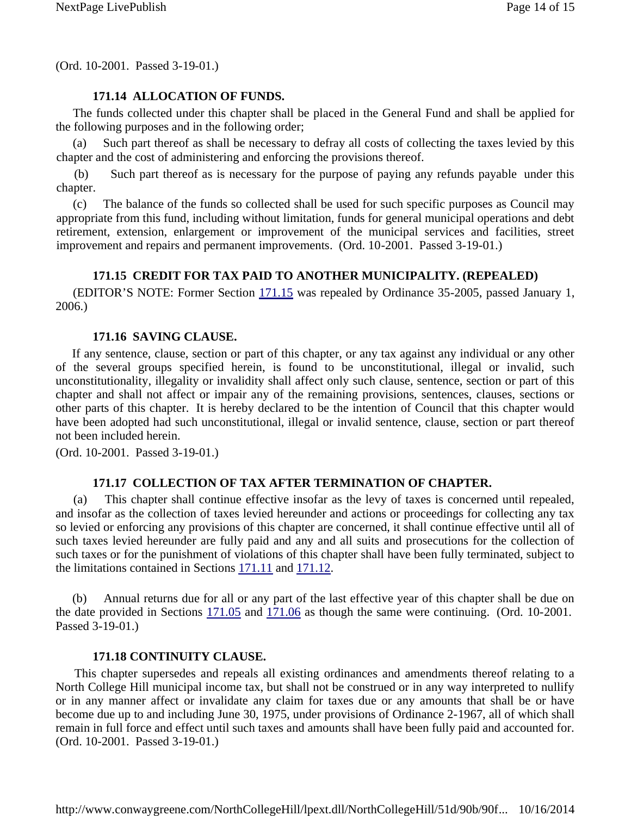<span id="page-13-0"></span>(Ord. 10-2001. Passed 3-19-01.)

## **171.14 ALLOCATION OF FUNDS.**

The funds collected under this chapter shall be placed in the General Fund and shall be applied for the following purposes and in the following order;

Such part thereof as shall be necessary to defray all costs of collecting the taxes levied by this chapter and the cost of administering and enforcing the provisions thereof.

(b) Such part thereof as is necessary for the purpose of paying any refunds payable under this chapter.

(c) The balance of the funds so collected shall be used for such specific purposes as Council may appropriate from this fund, including without limitation, funds for general municipal operations and debt retirement, extension, enlargement or improvement of the municipal services and facilities, street improvement and repairs and permanent improvements. (Ord. 10-2001. Passed 3-19-01.)

### **171.15 CREDIT FOR TAX PAID TO ANOTHER MUNICIPALITY. (REPEALED)**

(EDITOR'S NOTE: Former Section 171.15 was repealed by Ordinance 35-2005, passed January 1, 2006.)

### **171.16 SAVING CLAUSE.**

If any sentence, clause, section or part of this chapter, or any tax against any individual or any other of the several groups specified herein, is found to be unconstitutional, illegal or invalid, such unconstitutionality, illegality or invalidity shall affect only such clause, sentence, section or part of this chapter and shall not affect or impair any of the remaining provisions, sentences, clauses, sections or other parts of this chapter. It is hereby declared to be the intention of Council that this chapter would have been adopted had such unconstitutional, illegal or invalid sentence, clause, section or part thereof not been included herein.

(Ord. 10-2001. Passed 3-19-01.)

#### **171.17 COLLECTION OF TAX AFTER TERMINATION OF CHAPTER.**

(a) This chapter shall continue effective insofar as the levy of taxes is concerned until repealed, and insofar as the collection of taxes levied hereunder and actions or proceedings for collecting any tax so levied or enforcing any provisions of this chapter are concerned, it shall continue effective until all of such taxes levied hereunder are fully paid and any and all suits and prosecutions for the collection of such taxes or for the punishment of violations of this chapter shall have been fully terminated, subject to the limitations contained in Sections 171.11 and 171.12.

(b) Annual returns due for all or any part of the last effective year of this chapter shall be due on the date provided in Sections 171.05 and 171.06 as though the same were continuing. (Ord. 10-2001. Passed 3-19-01.)

### **171.18 CONTINUITY CLAUSE.**

This chapter supersedes and repeals all existing ordinances and amendments thereof relating to a North College Hill municipal income tax, but shall not be construed or in any way interpreted to nullify or in any manner affect or invalidate any claim for taxes due or any amounts that shall be or have become due up to and including June 30, 1975, under provisions of Ordinance 2-1967, all of which shall remain in full force and effect until such taxes and amounts shall have been fully paid and accounted for. (Ord. 10-2001. Passed 3-19-01.)